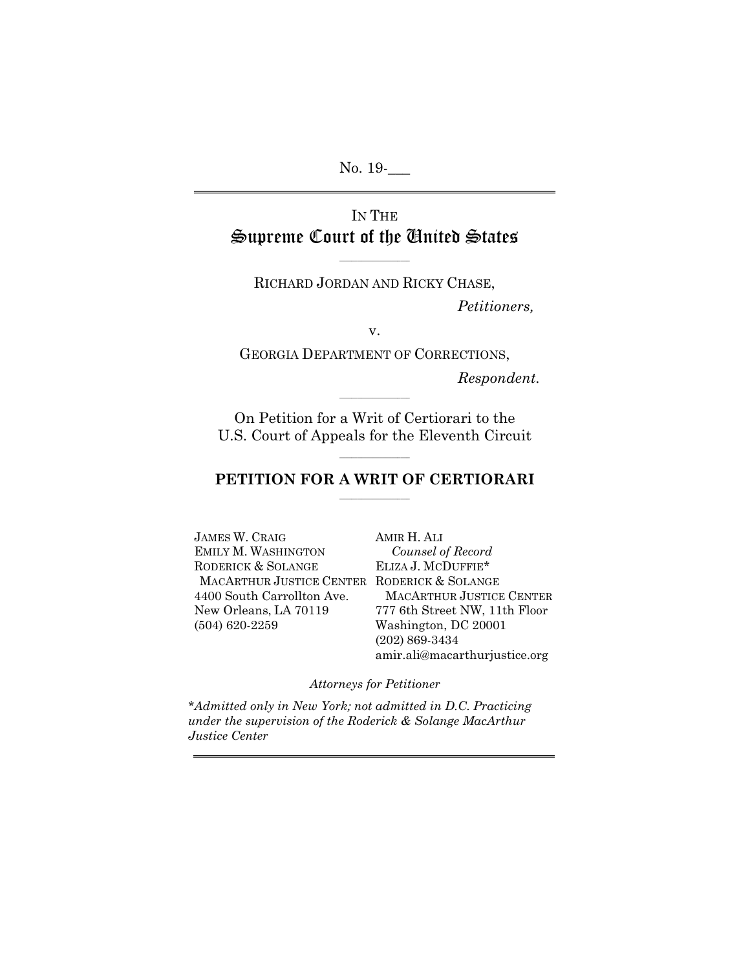No. 19-

# IN THE Supreme Court of the United States

RICHARD JORDAN AND RICKY CHASE,

 $\mathcal{L}=\{L_1,L_2,\ldots,L_n\}$ 

*Petitioners,* 

v.

GEORGIA DEPARTMENT OF CORRECTIONS,

*Respondent.*

On Petition for a Writ of Certiorari to the U.S. Court of Appeals for the Eleventh Circuit

 $\mathcal{L}=\{L_1,L_2,\ldots,L_n\}$ 

### $\mathcal{L}=\{L_1,L_2,\ldots,L_n\}$ **PETITION FOR A WRIT OF CERTIORARI**  $\sim$   $\sim$   $\sim$   $\sim$   $\sim$   $\sim$   $\sim$   $\sim$

JAMES W. CRAIG EMILY M. WASHINGTON RODERICK & SOLANGE MACARTHUR JUSTICE CENTER RODERICK & SOLANGE 4400 South Carrollton Ave. New Orleans, LA 70119 (504) 620-2259

AMIR H. ALI *Counsel of Record* ELIZA J. MCDUFFIE\* MACARTHUR JUSTICE CENTER 777 6th Street NW, 11th Floor Washington, DC 20001 (202) 869-3434 amir.ali@macarthurjustice.org

*Attorneys for Petitioner*

*\*Admitted only in New York; not admitted in D.C. Practicing under the supervision of the Roderick & Solange MacArthur Justice Center*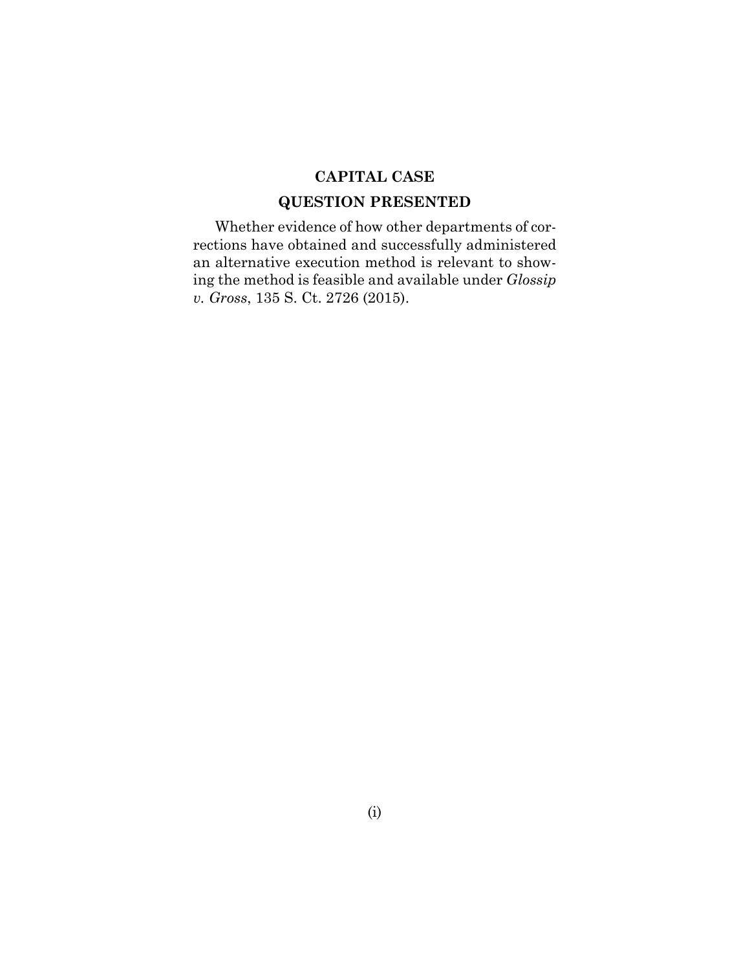## **CAPITAL CASE**

## **QUESTION PRESENTED**

Whether evidence of how other departments of corrections have obtained and successfully administered an alternative execution method is relevant to showing the method is feasible and available under *Glossip v. Gross*, 135 S. Ct. 2726 (2015).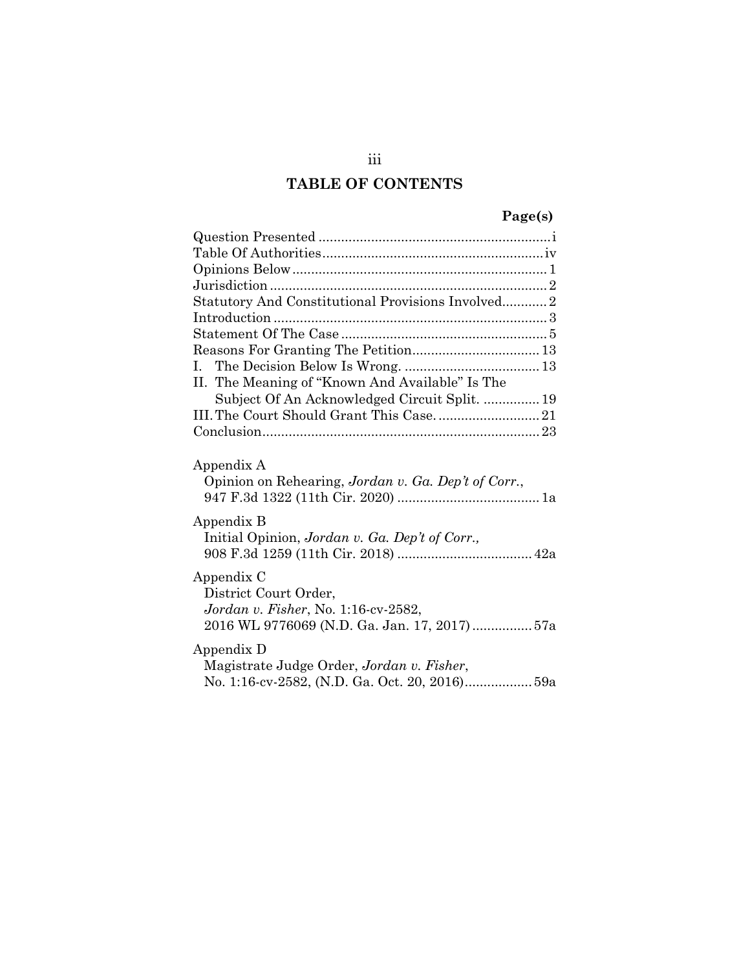# **TABLE OF CONTENTS**

# **Page(s)**

| Statutory And Constitutional Provisions Involved2                                                                          |
|----------------------------------------------------------------------------------------------------------------------------|
|                                                                                                                            |
|                                                                                                                            |
|                                                                                                                            |
|                                                                                                                            |
| II. The Meaning of "Known And Available" Is The                                                                            |
| Subject Of An Acknowledged Circuit Split.  19                                                                              |
|                                                                                                                            |
|                                                                                                                            |
| Appendix A<br>Opinion on Rehearing, Jordan v. Ga. Dep't of Corr.,                                                          |
| Appendix B<br>Initial Opinion, Jordan v. Ga. Dep't of Corr.,                                                               |
| Appendix C<br>District Court Order,<br>Jordan v. Fisher, No. 1:16-cv-2582,<br>2016 WL 9776069 (N.D. Ga. Jan. 17, 2017) 57a |
| Appendix D<br>Magistrate Judge Order, Jordan v. Fisher,<br>No. 1:16-cv-2582, (N.D. Ga. Oct. 20, 2016) 59a                  |

iii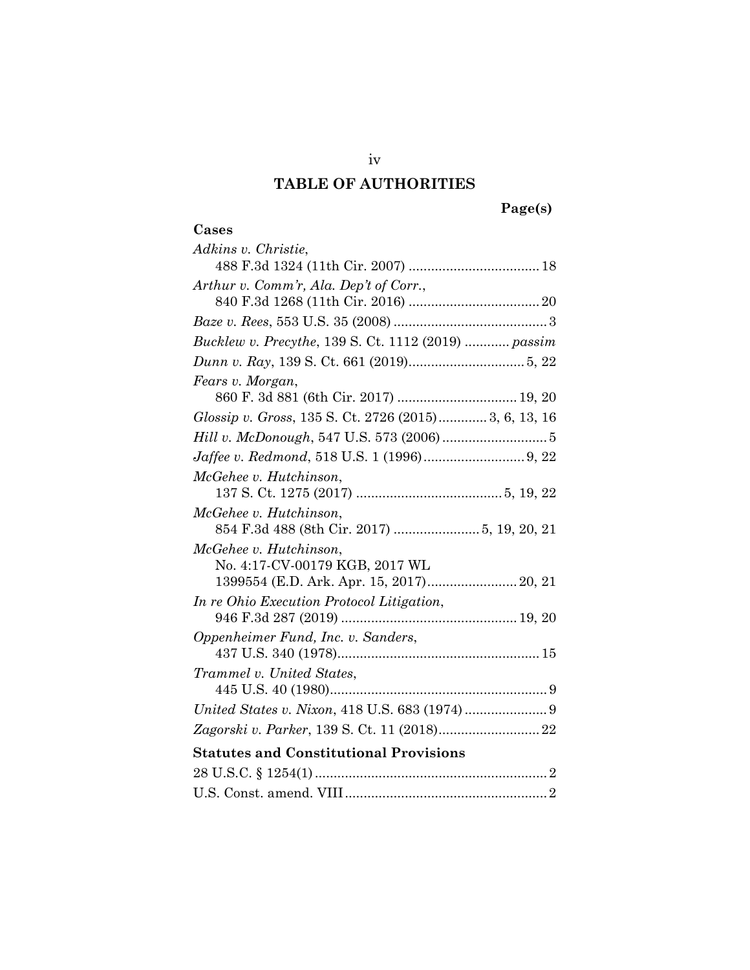# **TABLE OF AUTHORITIES**

## **Page(s)**

## **Cases**

| Adkins v. Christie,                                  |
|------------------------------------------------------|
|                                                      |
| Arthur v. Comm'r, Ala. Dep't of Corr.,               |
|                                                      |
|                                                      |
| Bucklew v. Precythe, 139 S. Ct. 1112 (2019)  passim  |
|                                                      |
| Fears v. Morgan,                                     |
| 860 F. 3d 881 (6th Cir. 2017)  19, 20                |
| Glossip v. Gross, 135 S. Ct. 2726 (2015)3, 6, 13, 16 |
|                                                      |
|                                                      |
| McGehee v. Hutchinson,                               |
|                                                      |
| McGehee v. Hutchinson,                               |
|                                                      |
| McGehee v. Hutchinson,                               |
| No. 4:17-CV-00179 KGB, 2017 WL                       |
| 1399554 (E.D. Ark. Apr. 15, 2017) 20, 21             |
| In re Ohio Execution Protocol Litigation,            |
|                                                      |
| Oppenheimer Fund, Inc. v. Sanders,                   |
|                                                      |
| Trammel v. United States,                            |
|                                                      |
|                                                      |
|                                                      |
| <b>Statutes and Constitutional Provisions</b>        |
|                                                      |
|                                                      |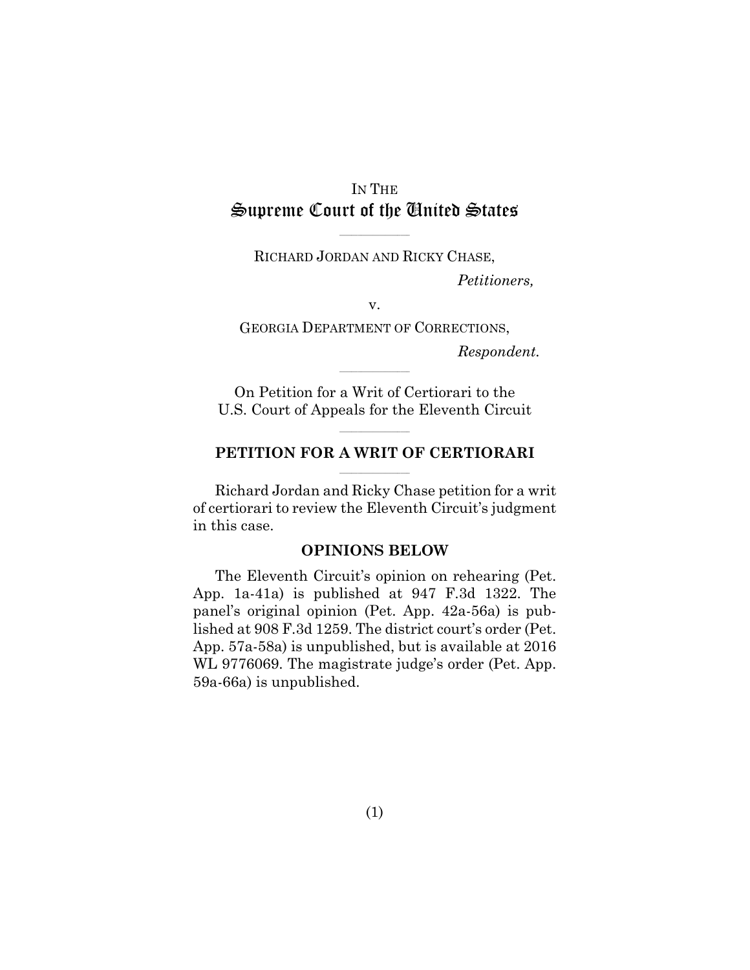# IN THE Supreme Court of the United States

 $\mathcal{L}=\{L_1,L_2,\ldots,L_n\}$ RICHARD JORDAN AND RICKY CHASE,

*Petitioners,* 

v.

GEORGIA DEPARTMENT OF CORRECTIONS,

*Respondent.*

On Petition for a Writ of Certiorari to the U.S. Court of Appeals for the Eleventh Circuit

 $\mathcal{L}=\{L_1,L_2,\ldots,L_n\}$ 

#### **PETITION FOR A WRIT OF CERTIORARI**  $\mathcal{L}_\text{max}$

 $\mathcal{L}=\{L_1,L_2,\ldots,L_n\}$ 

Richard Jordan and Ricky Chase petition for a writ of certiorari to review the Eleventh Circuit's judgment in this case.

#### **OPINIONS BELOW**

The Eleventh Circuit's opinion on rehearing (Pet. App. 1a-41a) is published at 947 F.3d 1322. The panel's original opinion (Pet. App. 42a-56a) is published at 908 F.3d 1259. The district court's order (Pet. App. 57a-58a) is unpublished, but is available at 2016 WL 9776069. The magistrate judge's order (Pet. App. 59a-66a) is unpublished.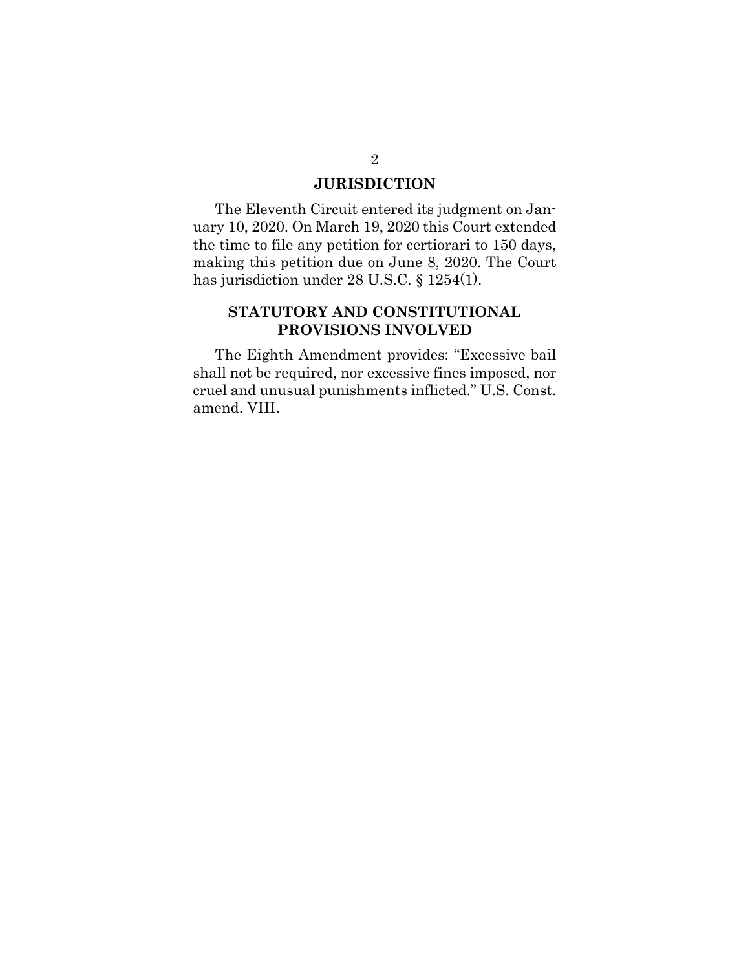### **JURISDICTION**

The Eleventh Circuit entered its judgment on January 10, 2020. On March 19, 2020 this Court extended the time to file any petition for certiorari to 150 days, making this petition due on June 8, 2020. The Court has jurisdiction under 28 U.S.C. § 1254(1).

## **STATUTORY AND CONSTITUTIONAL PROVISIONS INVOLVED**

The Eighth Amendment provides: "Excessive bail shall not be required, nor excessive fines imposed, nor cruel and unusual punishments inflicted." U.S. Const. amend. VIII.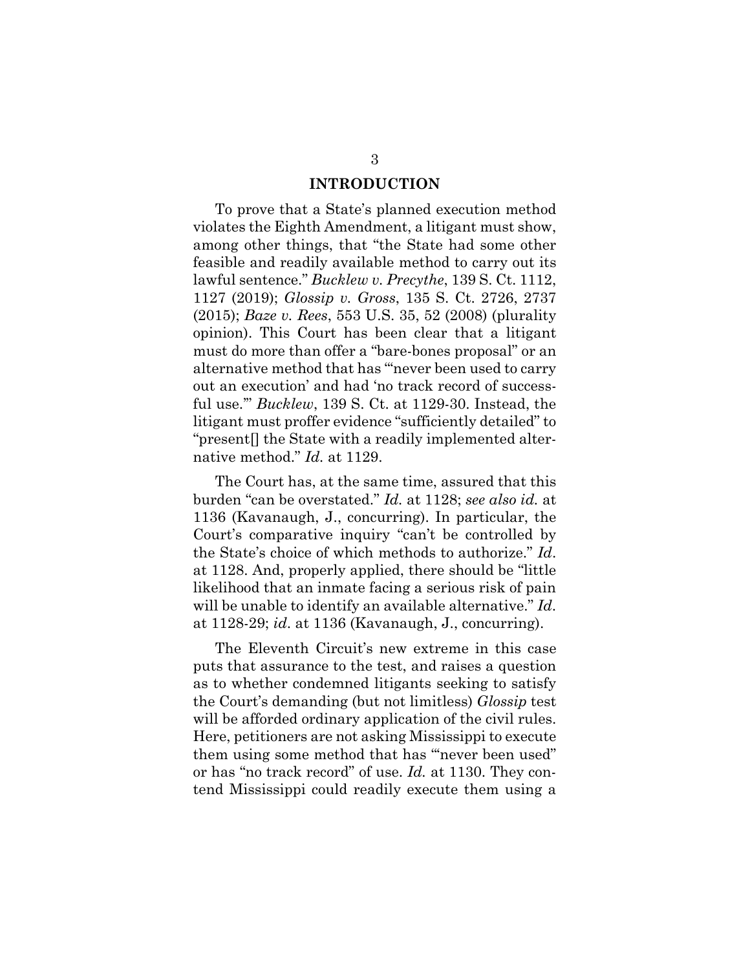#### **INTRODUCTION**

To prove that a State's planned execution method violates the Eighth Amendment, a litigant must show, among other things, that "the State had some other feasible and readily available method to carry out its lawful sentence." *Bucklew v. Precythe*, 139 S. Ct. 1112, 1127 (2019); *Glossip v. Gross*, 135 S. Ct. 2726, 2737 (2015); *Baze v. Rees*, 553 U.S. 35, 52 (2008) (plurality opinion). This Court has been clear that a litigant must do more than offer a "bare-bones proposal" or an alternative method that has "'never been used to carry out an execution' and had 'no track record of successful use.'" *Bucklew*, 139 S. Ct. at 1129-30. Instead, the litigant must proffer evidence "sufficiently detailed" to "present[] the State with a readily implemented alternative method." *Id.* at 1129.

The Court has, at the same time, assured that this burden "can be overstated." *Id.* at 1128; *see also id.* at 1136 (Kavanaugh, J., concurring). In particular, the Court's comparative inquiry "can't be controlled by the State's choice of which methods to authorize." *Id*. at 1128. And, properly applied, there should be "little likelihood that an inmate facing a serious risk of pain will be unable to identify an available alternative." *Id*. at 1128-29; *id*. at 1136 (Kavanaugh, J., concurring).

The Eleventh Circuit's new extreme in this case puts that assurance to the test, and raises a question as to whether condemned litigants seeking to satisfy the Court's demanding (but not limitless) *Glossip* test will be afforded ordinary application of the civil rules. Here, petitioners are not asking Mississippi to execute them using some method that has "'never been used" or has "no track record" of use. *Id.* at 1130. They contend Mississippi could readily execute them using a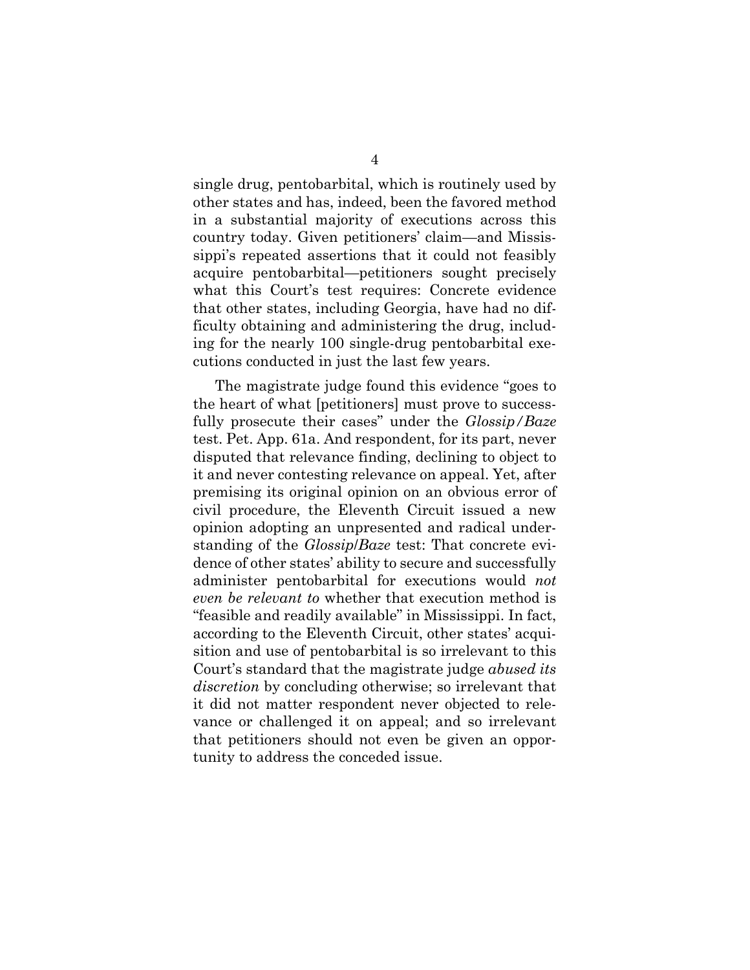single drug, pentobarbital, which is routinely used by other states and has, indeed, been the favored method in a substantial majority of executions across this country today. Given petitioners' claim—and Mississippi's repeated assertions that it could not feasibly acquire pentobarbital—petitioners sought precisely what this Court's test requires: Concrete evidence that other states, including Georgia, have had no difficulty obtaining and administering the drug, including for the nearly 100 single-drug pentobarbital executions conducted in just the last few years.

The magistrate judge found this evidence "goes to the heart of what [petitioners] must prove to successfully prosecute their cases" under the *Glossip/Baze* test. Pet. App. 61a. And respondent, for its part, never disputed that relevance finding, declining to object to it and never contesting relevance on appeal. Yet, after premising its original opinion on an obvious error of civil procedure, the Eleventh Circuit issued a new opinion adopting an unpresented and radical understanding of the *Glossip*/*Baze* test: That concrete evidence of other states' ability to secure and successfully administer pentobarbital for executions would *not even be relevant to* whether that execution method is "feasible and readily available" in Mississippi. In fact, according to the Eleventh Circuit, other states' acquisition and use of pentobarbital is so irrelevant to this Court's standard that the magistrate judge *abused its discretion* by concluding otherwise; so irrelevant that it did not matter respondent never objected to relevance or challenged it on appeal; and so irrelevant that petitioners should not even be given an opportunity to address the conceded issue.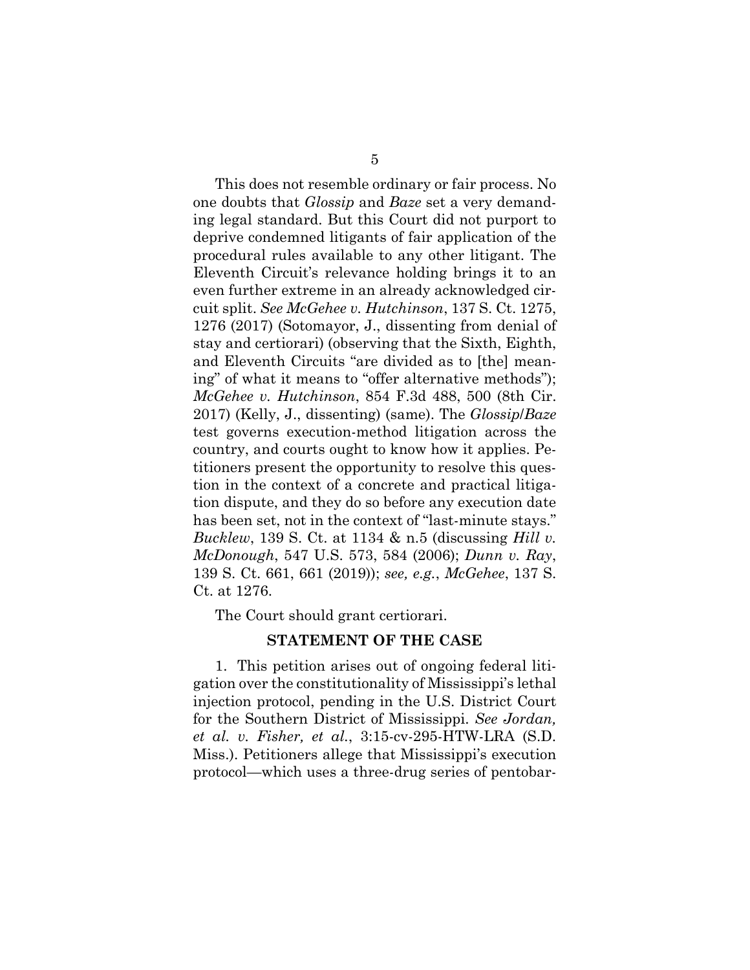This does not resemble ordinary or fair process. No one doubts that *Glossip* and *Baze* set a very demanding legal standard. But this Court did not purport to deprive condemned litigants of fair application of the procedural rules available to any other litigant. The Eleventh Circuit's relevance holding brings it to an even further extreme in an already acknowledged circuit split. *See McGehee v. Hutchinson*, 137 S. Ct. 1275, 1276 (2017) (Sotomayor, J., dissenting from denial of stay and certiorari) (observing that the Sixth, Eighth, and Eleventh Circuits "are divided as to [the] meaning" of what it means to "offer alternative methods"); *McGehee v. Hutchinson*, 854 F.3d 488, 500 (8th Cir. 2017) (Kelly, J., dissenting) (same). The *Glossip*/*Baze* test governs execution-method litigation across the country, and courts ought to know how it applies. Petitioners present the opportunity to resolve this question in the context of a concrete and practical litigation dispute, and they do so before any execution date has been set, not in the context of "last-minute stays." *Bucklew*, 139 S. Ct. at 1134 & n.5 (discussing *Hill v. McDonough*, 547 U.S. 573, 584 (2006); *Dunn v. Ray*, 139 S. Ct. 661, 661 (2019)); *see, e.g.*, *McGehee*, 137 S. Ct. at 1276.

The Court should grant certiorari.

#### **STATEMENT OF THE CASE**

1. This petition arises out of ongoing federal litigation over the constitutionality of Mississippi's lethal injection protocol, pending in the U.S. District Court for the Southern District of Mississippi. *See Jordan, et al. v. Fisher, et al.*, 3:15-cv-295-HTW-LRA (S.D. Miss.). Petitioners allege that Mississippi's execution protocol—which uses a three-drug series of pentobar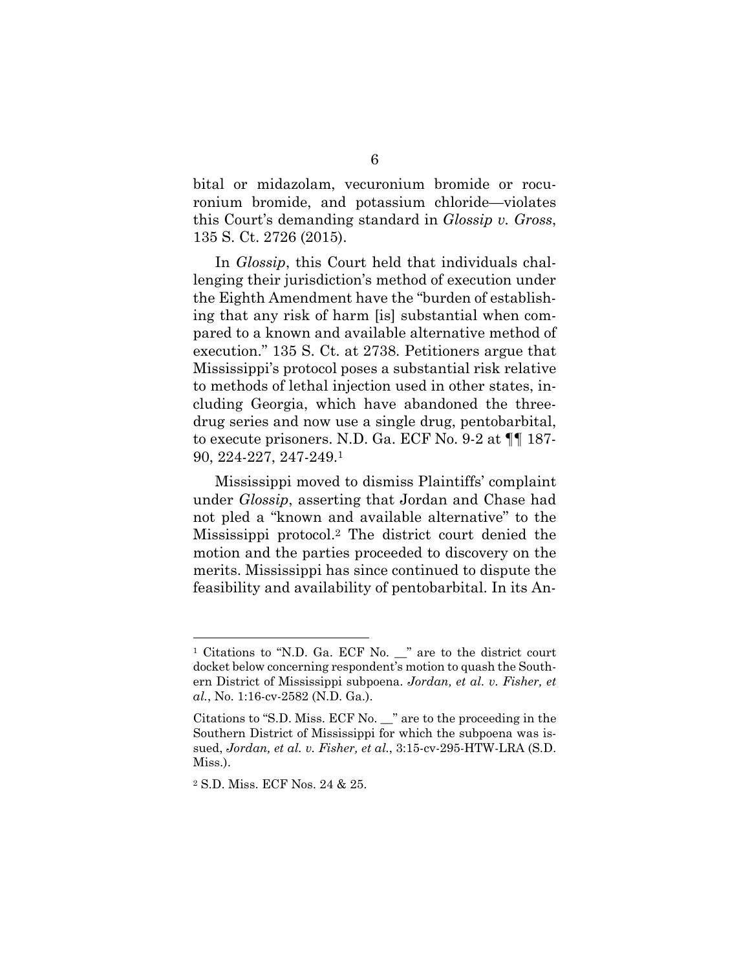bital or midazolam, vecuronium bromide or rocuronium bromide, and potassium chloride—violates this Court's demanding standard in *Glossip v. Gross*, 135 S. Ct. 2726 (2015).

In *Glossip*, this Court held that individuals challenging their jurisdiction's method of execution under the Eighth Amendment have the "burden of establishing that any risk of harm [is] substantial when compared to a known and available alternative method of execution." 135 S. Ct. at 2738. Petitioners argue that Mississippi's protocol poses a substantial risk relative to methods of lethal injection used in other states, including Georgia, which have abandoned the threedrug series and now use a single drug, pentobarbital, to execute prisoners. N.D. Ga. ECF No. 9-2 at ¶¶ 187- 90, 224-227, 247-249.1

Mississippi moved to dismiss Plaintiffs' complaint under *Glossip*, asserting that Jordan and Chase had not pled a "known and available alternative" to the Mississippi protocol.2 The district court denied the motion and the parties proceeded to discovery on the merits. Mississippi has since continued to dispute the feasibility and availability of pentobarbital. In its An-

2 S.D. Miss. ECF Nos. 24 & 25.

<sup>&</sup>lt;sup>1</sup> Citations to "N.D. Ga. ECF No. \_" are to the district court docket below concerning respondent's motion to quash the Southern District of Mississippi subpoena. *Jordan, et al. v. Fisher, et al.*, No. 1:16-cv-2582 (N.D. Ga.).

Citations to "S.D. Miss. ECF No. \_\_" are to the proceeding in the Southern District of Mississippi for which the subpoena was issued, *Jordan, et al. v. Fisher, et al.*, 3:15-cv-295-HTW-LRA (S.D. Miss.).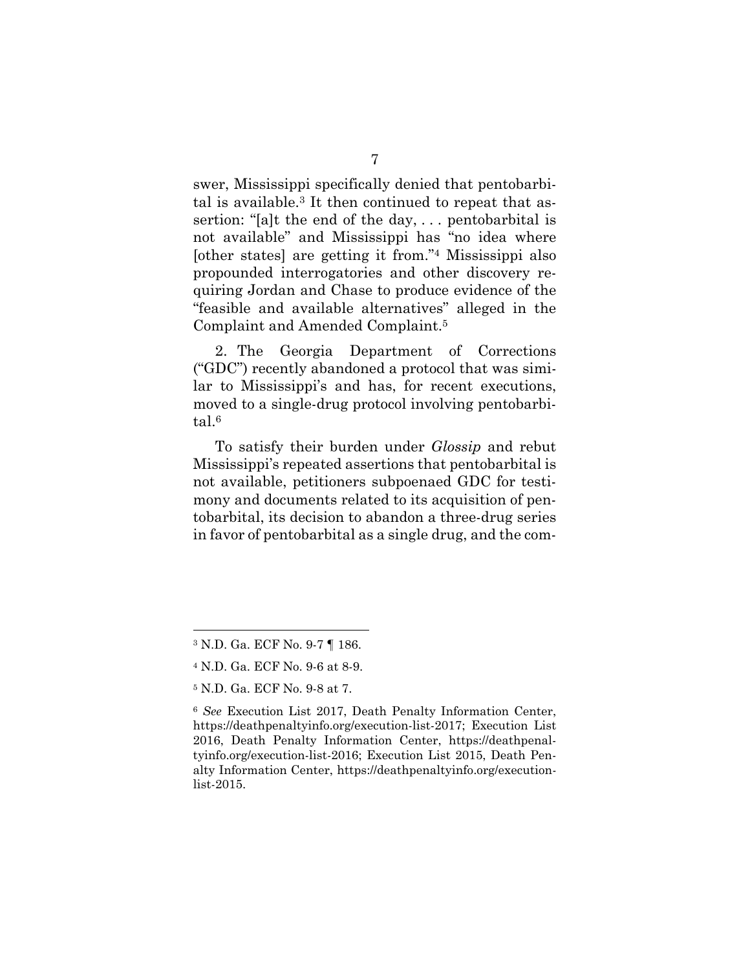swer, Mississippi specifically denied that pentobarbital is available.3 It then continued to repeat that assertion: "[a]t the end of the day, . . . pentobarbital is not available" and Mississippi has "no idea where [other states] are getting it from."4 Mississippi also propounded interrogatories and other discovery requiring Jordan and Chase to produce evidence of the "feasible and available alternatives" alleged in the Complaint and Amended Complaint.5

2. The Georgia Department of Corrections ("GDC") recently abandoned a protocol that was similar to Mississippi's and has, for recent executions, moved to a single-drug protocol involving pentobarbital.6

To satisfy their burden under *Glossip* and rebut Mississippi's repeated assertions that pentobarbital is not available, petitioners subpoenaed GDC for testimony and documents related to its acquisition of pentobarbital, its decision to abandon a three-drug series in favor of pentobarbital as a single drug, and the com-

<sup>3</sup> N.D. Ga. ECF No. 9-7 ¶ 186.

<sup>4</sup> N.D. Ga. ECF No. 9-6 at 8-9.

<sup>5</sup> N.D. Ga. ECF No. 9-8 at 7.

<sup>6</sup> *See* Execution List 2017, Death Penalty Information Center, https://deathpenaltyinfo.org/execution-list-2017; Execution List 2016, Death Penalty Information Center, https://deathpenaltyinfo.org/execution-list-2016; Execution List 2015, Death Penalty Information Center, https://deathpenaltyinfo.org/executionlist-2015.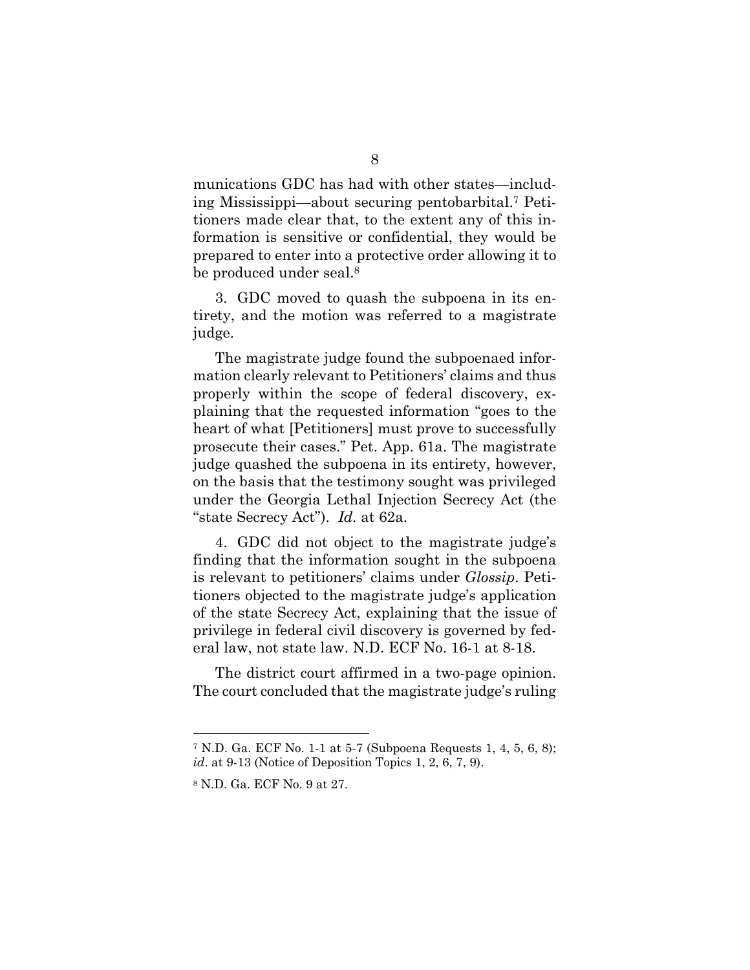munications GDC has had with other states—including Mississippi—about securing pentobarbital.7 Petitioners made clear that, to the extent any of this information is sensitive or confidential, they would be prepared to enter into a protective order allowing it to be produced under seal.8

3. GDC moved to quash the subpoena in its entirety, and the motion was referred to a magistrate judge.

The magistrate judge found the subpoenaed information clearly relevant to Petitioners' claims and thus properly within the scope of federal discovery, explaining that the requested information "goes to the heart of what [Petitioners] must prove to successfully prosecute their cases." Pet. App. 61a. The magistrate judge quashed the subpoena in its entirety, however, on the basis that the testimony sought was privileged under the Georgia Lethal Injection Secrecy Act (the "state Secrecy Act"). *Id.* at 62a.

4. GDC did not object to the magistrate judge's finding that the information sought in the subpoena is relevant to petitioners' claims under *Glossip*. Petitioners objected to the magistrate judge's application of the state Secrecy Act, explaining that the issue of privilege in federal civil discovery is governed by federal law, not state law. N.D. ECF No. 16-1 at 8-18.

The district court affirmed in a two-page opinion. The court concluded that the magistrate judge's ruling

<sup>7</sup> N.D. Ga. ECF No. 1-1 at 5-7 (Subpoena Requests 1, 4, 5, 6, 8); *id*. at 9-13 (Notice of Deposition Topics 1, 2, 6, 7, 9).

<sup>8</sup> N.D. Ga. ECF No. 9 at 27.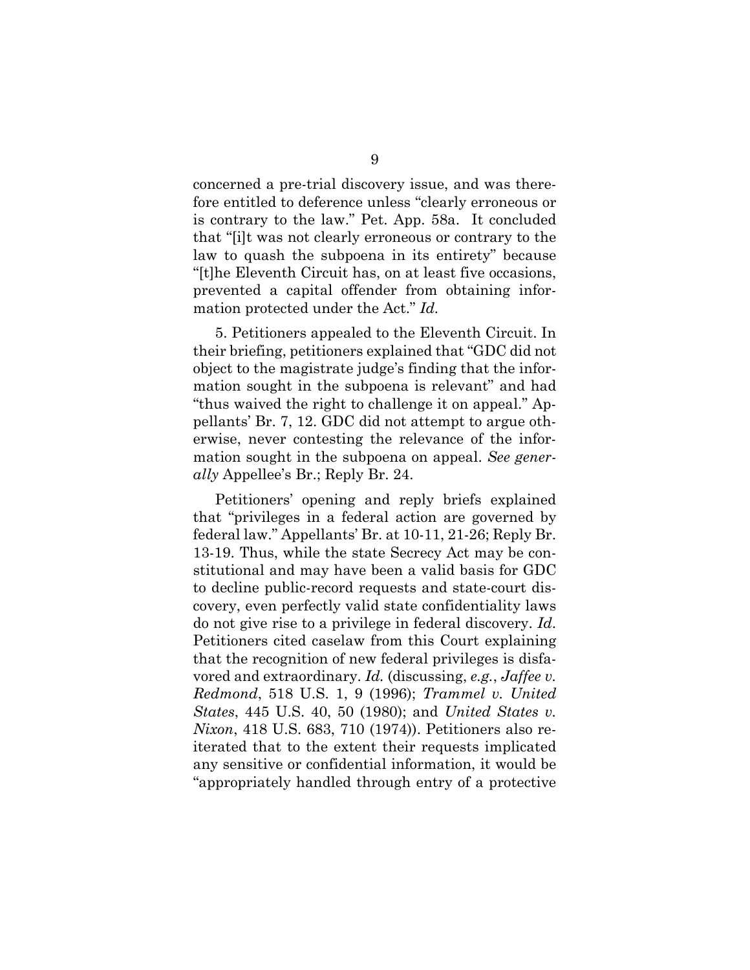concerned a pre-trial discovery issue, and was therefore entitled to deference unless "clearly erroneous or is contrary to the law." Pet. App. 58a. It concluded that "[i]t was not clearly erroneous or contrary to the law to quash the subpoena in its entirety" because "[t]he Eleventh Circuit has, on at least five occasions, prevented a capital offender from obtaining information protected under the Act." *Id.*

5. Petitioners appealed to the Eleventh Circuit. In their briefing, petitioners explained that "GDC did not object to the magistrate judge's finding that the information sought in the subpoena is relevant" and had "thus waived the right to challenge it on appeal." Appellants' Br. 7, 12. GDC did not attempt to argue otherwise, never contesting the relevance of the information sought in the subpoena on appeal. *See generally* Appellee's Br.; Reply Br. 24.

Petitioners' opening and reply briefs explained that "privileges in a federal action are governed by federal law." Appellants' Br. at 10-11, 21-26; Reply Br. 13-19. Thus, while the state Secrecy Act may be constitutional and may have been a valid basis for GDC to decline public-record requests and state-court discovery, even perfectly valid state confidentiality laws do not give rise to a privilege in federal discovery. *Id*. Petitioners cited caselaw from this Court explaining that the recognition of new federal privileges is disfavored and extraordinary. *Id.* (discussing, *e.g.*, *Jaffee v. Redmond*, 518 U.S. 1, 9 (1996); *Trammel v. United States*, 445 U.S. 40, 50 (1980); and *United States v. Nixon*, 418 U.S. 683, 710 (1974)). Petitioners also reiterated that to the extent their requests implicated any sensitive or confidential information, it would be "appropriately handled through entry of a protective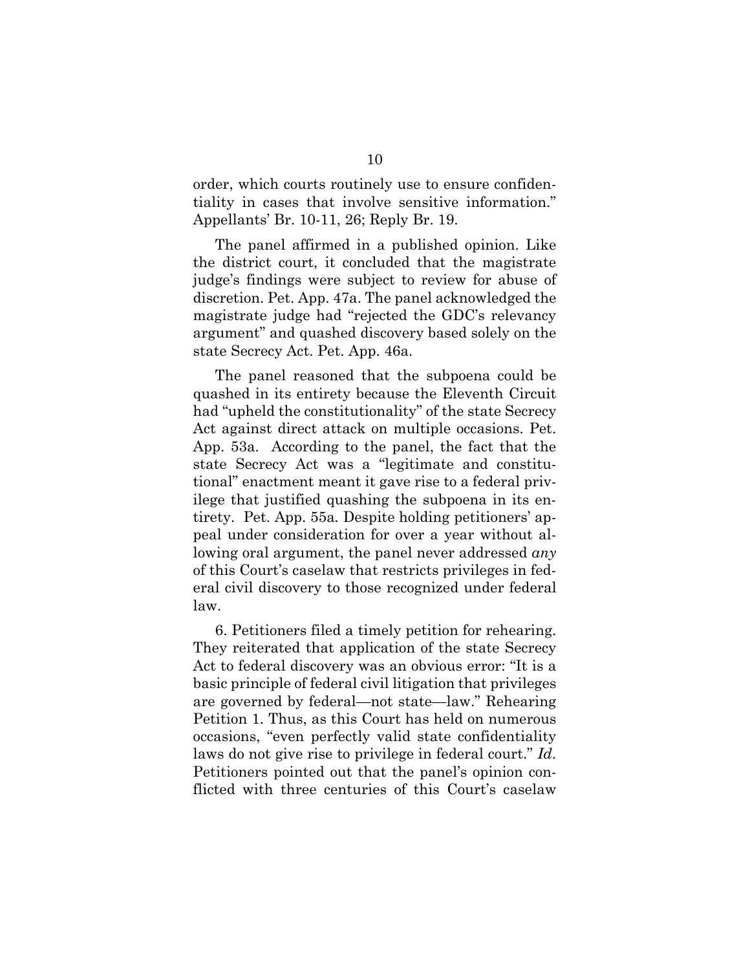order, which courts routinely use to ensure confidentiality in cases that involve sensitive information." Appellants' Br. 10-11, 26; Reply Br. 19.

The panel affirmed in a published opinion. Like the district court, it concluded that the magistrate judge's findings were subject to review for abuse of discretion. Pet. App. 47a. The panel acknowledged the magistrate judge had "rejected the GDC's relevancy argument" and quashed discovery based solely on the state Secrecy Act. Pet. App. 46a.

The panel reasoned that the subpoena could be quashed in its entirety because the Eleventh Circuit had "upheld the constitutionality" of the state Secrecy Act against direct attack on multiple occasions. Pet. App. 53a. According to the panel, the fact that the state Secrecy Act was a "legitimate and constitutional" enactment meant it gave rise to a federal privilege that justified quashing the subpoena in its entirety. Pet. App. 55a*.* Despite holding petitioners' appeal under consideration for over a year without allowing oral argument, the panel never addressed *any* of this Court's caselaw that restricts privileges in federal civil discovery to those recognized under federal law.

6. Petitioners filed a timely petition for rehearing. They reiterated that application of the state Secrecy Act to federal discovery was an obvious error: "It is a basic principle of federal civil litigation that privileges are governed by federal—not state—law." Rehearing Petition 1. Thus, as this Court has held on numerous occasions, "even perfectly valid state confidentiality laws do not give rise to privilege in federal court." *Id*. Petitioners pointed out that the panel's opinion conflicted with three centuries of this Court's caselaw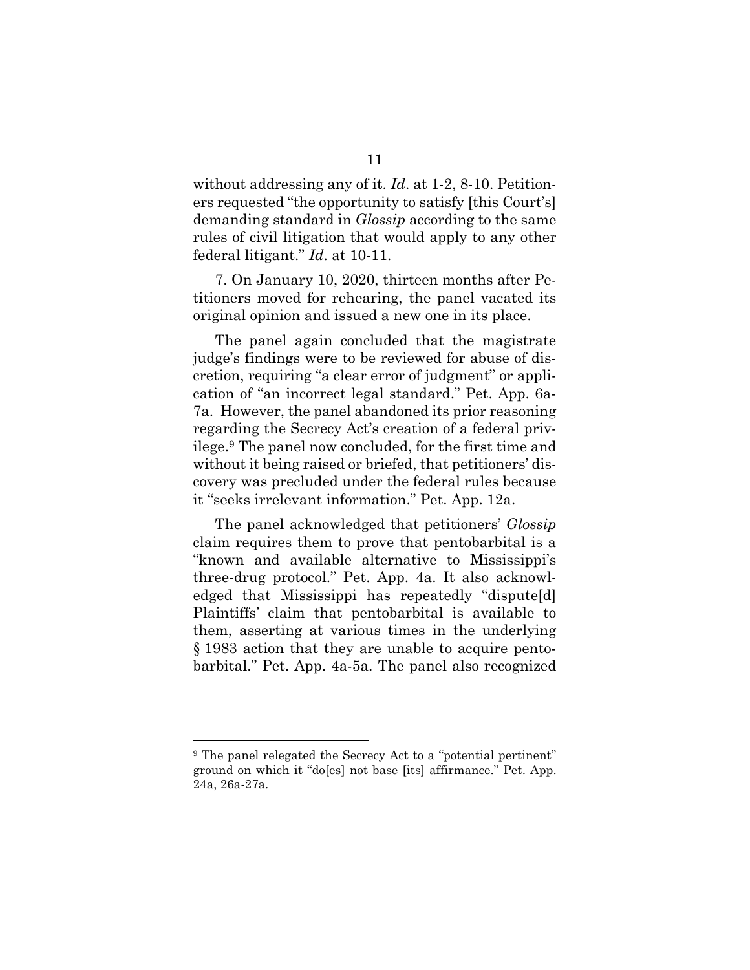without addressing any of it. *Id*. at 1-2, 8-10. Petitioners requested "the opportunity to satisfy [this Court's] demanding standard in *Glossip* according to the same rules of civil litigation that would apply to any other federal litigant." *Id*. at 10-11.

7. On January 10, 2020, thirteen months after Petitioners moved for rehearing, the panel vacated its original opinion and issued a new one in its place.

The panel again concluded that the magistrate judge's findings were to be reviewed for abuse of discretion, requiring "a clear error of judgment" or application of "an incorrect legal standard." Pet. App. 6a-7a. However, the panel abandoned its prior reasoning regarding the Secrecy Act's creation of a federal privilege.9 The panel now concluded, for the first time and without it being raised or briefed, that petitioners' discovery was precluded under the federal rules because it "seeks irrelevant information." Pet. App. 12a.

The panel acknowledged that petitioners' *Glossip* claim requires them to prove that pentobarbital is a "known and available alternative to Mississippi's three-drug protocol." Pet. App. 4a. It also acknowledged that Mississippi has repeatedly "dispute[d] Plaintiffs' claim that pentobarbital is available to them, asserting at various times in the underlying § 1983 action that they are unable to acquire pentobarbital." Pet. App. 4a-5a. The panel also recognized

<sup>9</sup> The panel relegated the Secrecy Act to a "potential pertinent" ground on which it "do[es] not base [its] affirmance." Pet. App. 24a, 26a-27a.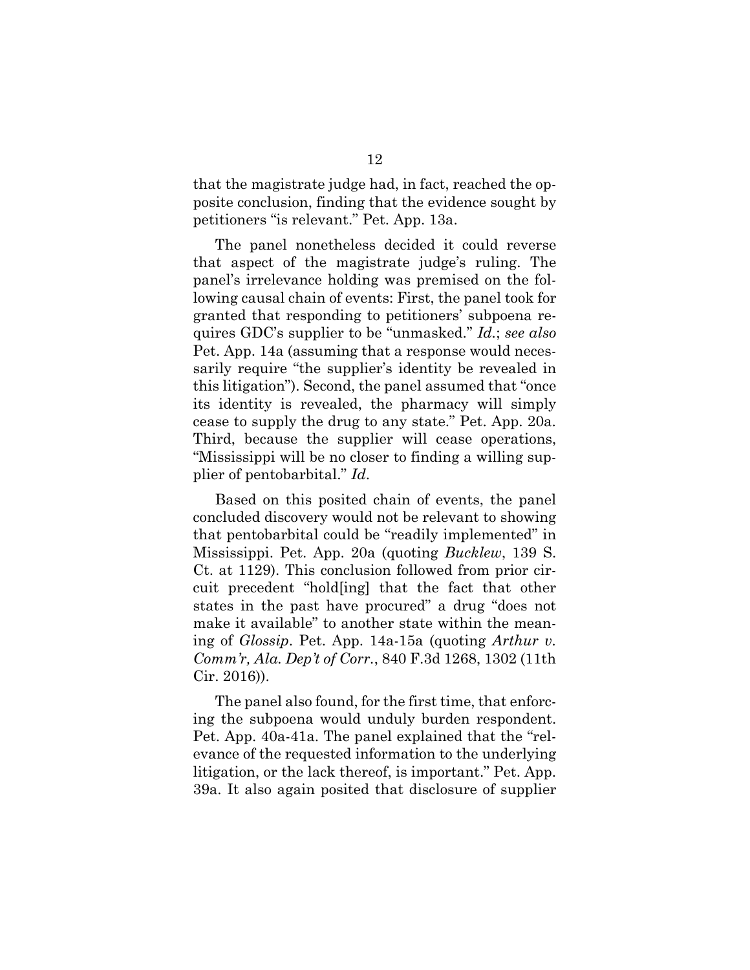that the magistrate judge had, in fact, reached the opposite conclusion, finding that the evidence sought by petitioners "is relevant." Pet. App. 13a.

The panel nonetheless decided it could reverse that aspect of the magistrate judge's ruling. The panel's irrelevance holding was premised on the following causal chain of events: First, the panel took for granted that responding to petitioners' subpoena requires GDC's supplier to be "unmasked." *Id.*; *see also*  Pet. App. 14a (assuming that a response would necessarily require "the supplier's identity be revealed in this litigation"). Second, the panel assumed that "once its identity is revealed, the pharmacy will simply cease to supply the drug to any state." Pet. App. 20a. Third, because the supplier will cease operations, "Mississippi will be no closer to finding a willing supplier of pentobarbital." *Id*.

Based on this posited chain of events, the panel concluded discovery would not be relevant to showing that pentobarbital could be "readily implemented" in Mississippi. Pet. App. 20a (quoting *Bucklew*, 139 S. Ct. at 1129). This conclusion followed from prior circuit precedent "hold[ing] that the fact that other states in the past have procured" a drug "does not make it available" to another state within the meaning of *Glossip*. Pet. App. 14a-15a (quoting *Arthur v. Comm'r, Ala. Dep't of Corr.*, 840 F.3d 1268, 1302 (11th Cir. 2016)).

The panel also found, for the first time, that enforcing the subpoena would unduly burden respondent. Pet. App. 40a-41a. The panel explained that the "relevance of the requested information to the underlying litigation, or the lack thereof, is important." Pet. App. 39a. It also again posited that disclosure of supplier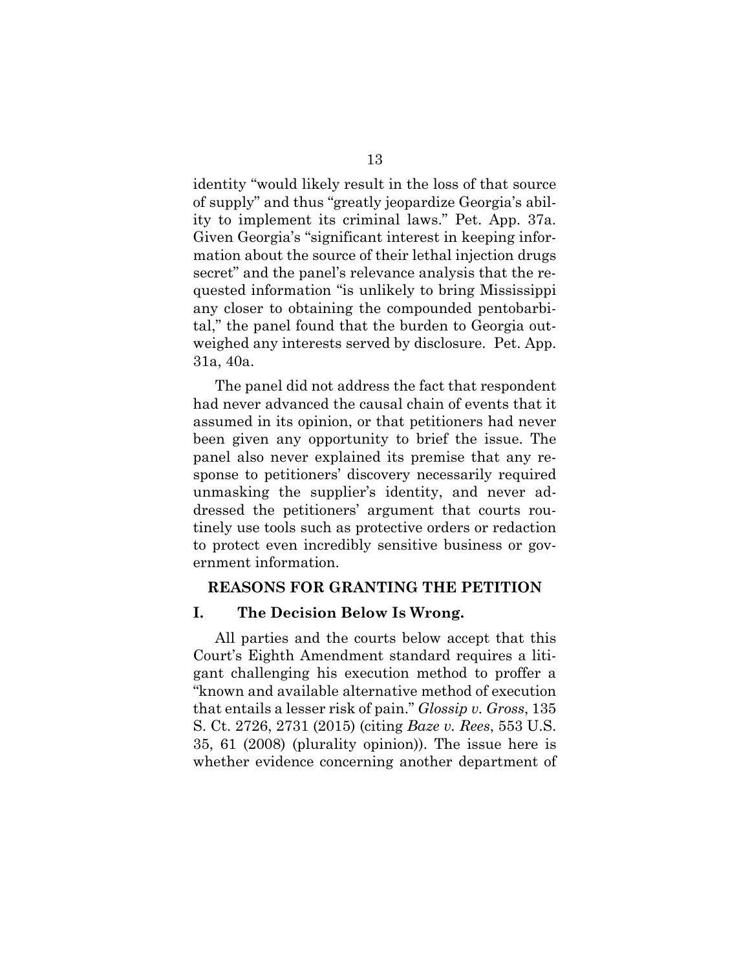identity "would likely result in the loss of that source of supply" and thus "greatly jeopardize Georgia's ability to implement its criminal laws." Pet. App. 37a. Given Georgia's "significant interest in keeping information about the source of their lethal injection drugs secret" and the panel's relevance analysis that the requested information "is unlikely to bring Mississippi any closer to obtaining the compounded pentobarbital," the panel found that the burden to Georgia outweighed any interests served by disclosure. Pet. App. 31a, 40a.

The panel did not address the fact that respondent had never advanced the causal chain of events that it assumed in its opinion, or that petitioners had never been given any opportunity to brief the issue. The panel also never explained its premise that any response to petitioners' discovery necessarily required unmasking the supplier's identity, and never addressed the petitioners' argument that courts routinely use tools such as protective orders or redaction to protect even incredibly sensitive business or government information.

### **REASONS FOR GRANTING THE PETITION**

### **I. The Decision Below Is Wrong.**

All parties and the courts below accept that this Court's Eighth Amendment standard requires a litigant challenging his execution method to proffer a "known and available alternative method of execution that entails a lesser risk of pain." *Glossip v. Gross*, 135 S. Ct. 2726, 2731 (2015) (citing *Baze v. Rees*, 553 U.S. 35, 61 (2008) (plurality opinion)). The issue here is whether evidence concerning another department of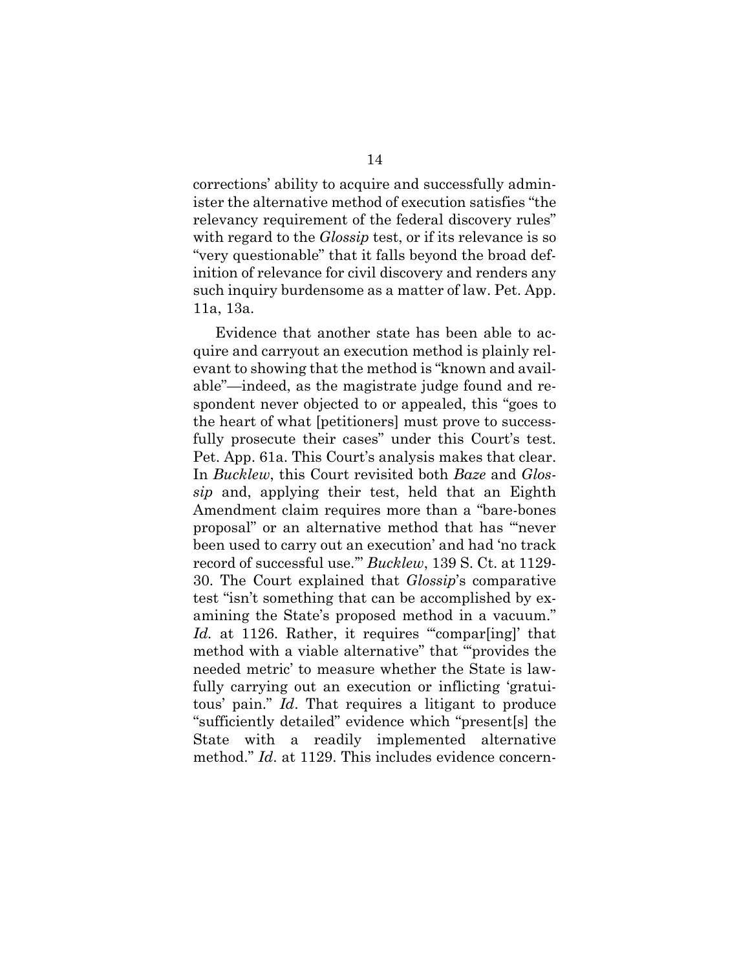corrections' ability to acquire and successfully administer the alternative method of execution satisfies "the relevancy requirement of the federal discovery rules" with regard to the *Glossip* test, or if its relevance is so "very questionable" that it falls beyond the broad definition of relevance for civil discovery and renders any such inquiry burdensome as a matter of law. Pet. App. 11a, 13a.

Evidence that another state has been able to acquire and carryout an execution method is plainly relevant to showing that the method is "known and available"—indeed, as the magistrate judge found and respondent never objected to or appealed, this "goes to the heart of what [petitioners] must prove to successfully prosecute their cases" under this Court's test. Pet. App. 61a. This Court's analysis makes that clear. In *Bucklew*, this Court revisited both *Baze* and *Glossip* and, applying their test, held that an Eighth Amendment claim requires more than a "bare-bones proposal" or an alternative method that has "'never been used to carry out an execution' and had 'no track record of successful use.'" *Bucklew*, 139 S. Ct. at 1129- 30. The Court explained that *Glossip*'s comparative test "isn't something that can be accomplished by examining the State's proposed method in a vacuum." *Id.* at 1126. Rather, it requires "compar[ing]' that method with a viable alternative" that "'provides the needed metric' to measure whether the State is lawfully carrying out an execution or inflicting 'gratuitous' pain." *Id*. That requires a litigant to produce "sufficiently detailed" evidence which "present[s] the State with a readily implemented alternative method." *Id*. at 1129. This includes evidence concern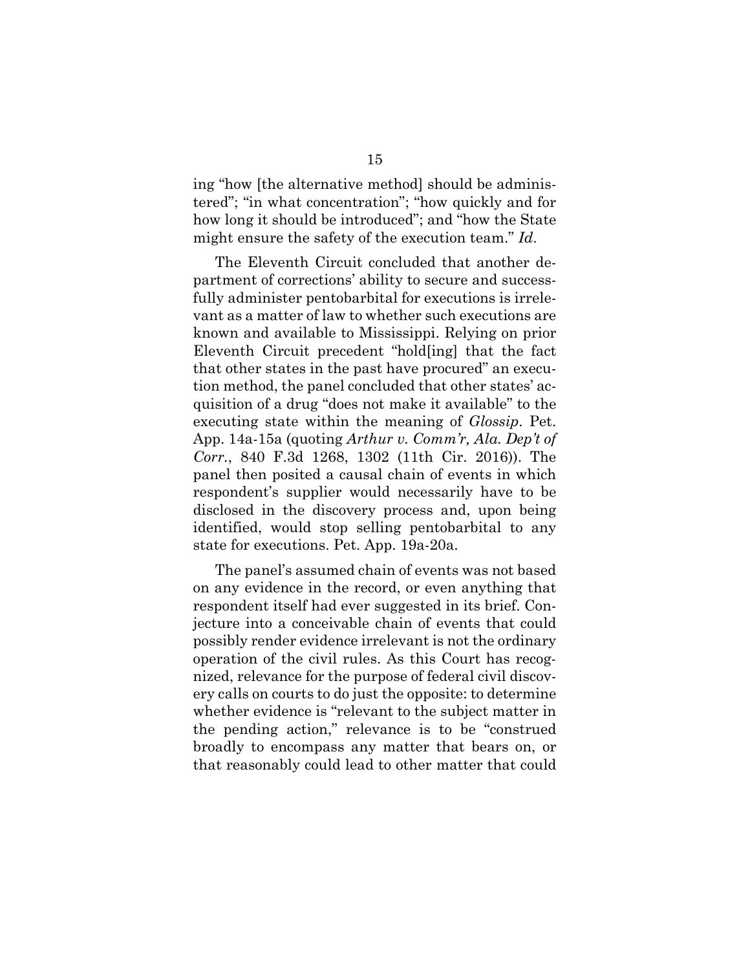ing "how [the alternative method] should be administered"; "in what concentration"; "how quickly and for how long it should be introduced"; and "how the State might ensure the safety of the execution team." *Id*.

The Eleventh Circuit concluded that another department of corrections' ability to secure and successfully administer pentobarbital for executions is irrelevant as a matter of law to whether such executions are known and available to Mississippi. Relying on prior Eleventh Circuit precedent "hold[ing] that the fact that other states in the past have procured" an execution method, the panel concluded that other states' acquisition of a drug "does not make it available" to the executing state within the meaning of *Glossip*. Pet. App. 14a-15a (quoting *Arthur v. Comm'r, Ala. Dep't of Corr.*, 840 F.3d 1268, 1302 (11th Cir. 2016)). The panel then posited a causal chain of events in which respondent's supplier would necessarily have to be disclosed in the discovery process and, upon being identified, would stop selling pentobarbital to any state for executions. Pet. App. 19a-20a.

The panel's assumed chain of events was not based on any evidence in the record, or even anything that respondent itself had ever suggested in its brief. Conjecture into a conceivable chain of events that could possibly render evidence irrelevant is not the ordinary operation of the civil rules. As this Court has recognized, relevance for the purpose of federal civil discovery calls on courts to do just the opposite: to determine whether evidence is "relevant to the subject matter in the pending action," relevance is to be "construed broadly to encompass any matter that bears on, or that reasonably could lead to other matter that could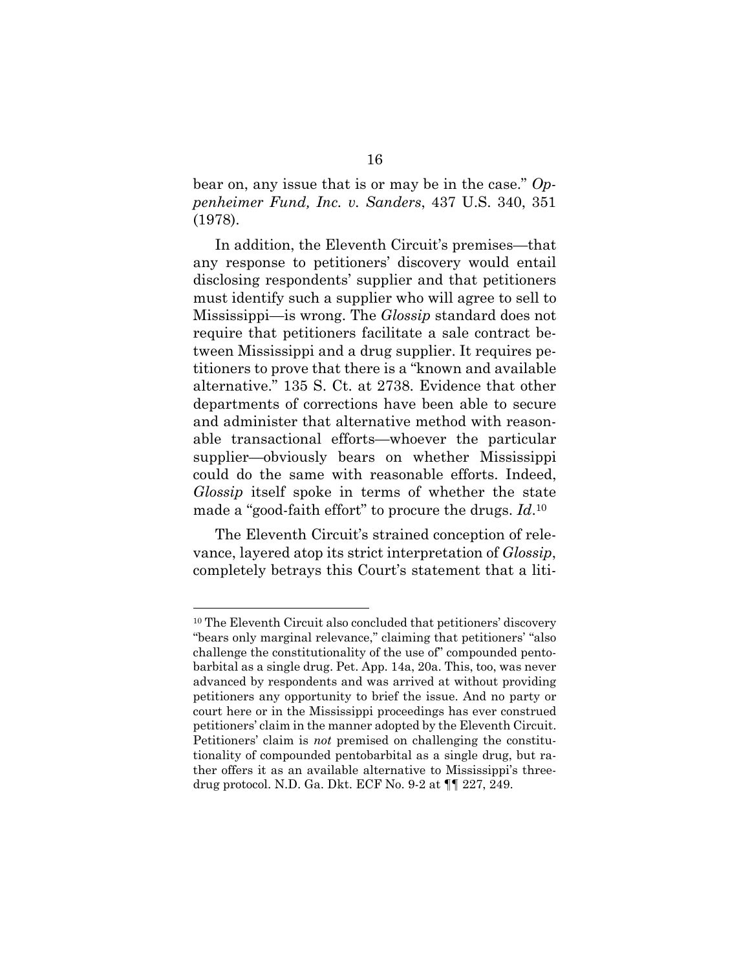bear on, any issue that is or may be in the case." *Oppenheimer Fund, Inc. v. Sanders*, 437 U.S. 340, 351 (1978).

In addition, the Eleventh Circuit's premises—that any response to petitioners' discovery would entail disclosing respondents' supplier and that petitioners must identify such a supplier who will agree to sell to Mississippi—is wrong. The *Glossip* standard does not require that petitioners facilitate a sale contract between Mississippi and a drug supplier. It requires petitioners to prove that there is a "known and available alternative." 135 S. Ct. at 2738. Evidence that other departments of corrections have been able to secure and administer that alternative method with reasonable transactional efforts—whoever the particular supplier—obviously bears on whether Mississippi could do the same with reasonable efforts. Indeed, *Glossip* itself spoke in terms of whether the state made a "good-faith effort" to procure the drugs. *Id*.10

The Eleventh Circuit's strained conception of relevance, layered atop its strict interpretation of *Glossip*, completely betrays this Court's statement that a liti-

<sup>10</sup> The Eleventh Circuit also concluded that petitioners' discovery "bears only marginal relevance," claiming that petitioners' "also challenge the constitutionality of the use of" compounded pentobarbital as a single drug. Pet. App. 14a, 20a. This, too, was never advanced by respondents and was arrived at without providing petitioners any opportunity to brief the issue. And no party or court here or in the Mississippi proceedings has ever construed petitioners' claim in the manner adopted by the Eleventh Circuit. Petitioners' claim is *not* premised on challenging the constitutionality of compounded pentobarbital as a single drug, but rather offers it as an available alternative to Mississippi's threedrug protocol. N.D. Ga. Dkt. ECF No. 9-2 at ¶¶ 227, 249.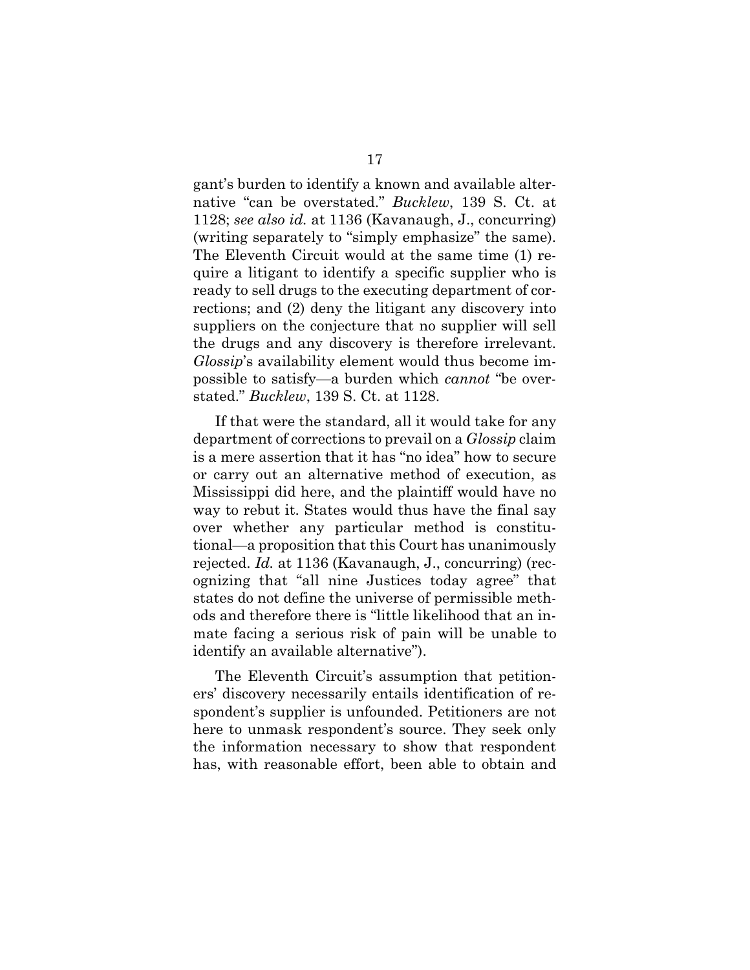gant's burden to identify a known and available alternative "can be overstated." *Bucklew*, 139 S. Ct. at 1128; *see also id.* at 1136 (Kavanaugh, J., concurring) (writing separately to "simply emphasize" the same). The Eleventh Circuit would at the same time (1) require a litigant to identify a specific supplier who is ready to sell drugs to the executing department of corrections; and (2) deny the litigant any discovery into suppliers on the conjecture that no supplier will sell the drugs and any discovery is therefore irrelevant. *Glossip*'s availability element would thus become impossible to satisfy—a burden which *cannot* "be overstated." *Bucklew*, 139 S. Ct. at 1128.

If that were the standard, all it would take for any department of corrections to prevail on a *Glossip* claim is a mere assertion that it has "no idea" how to secure or carry out an alternative method of execution, as Mississippi did here, and the plaintiff would have no way to rebut it. States would thus have the final say over whether any particular method is constitutional—a proposition that this Court has unanimously rejected. *Id.* at 1136 (Kavanaugh, J., concurring) (recognizing that "all nine Justices today agree" that states do not define the universe of permissible methods and therefore there is "little likelihood that an inmate facing a serious risk of pain will be unable to identify an available alternative").

The Eleventh Circuit's assumption that petitioners' discovery necessarily entails identification of respondent's supplier is unfounded. Petitioners are not here to unmask respondent's source. They seek only the information necessary to show that respondent has, with reasonable effort, been able to obtain and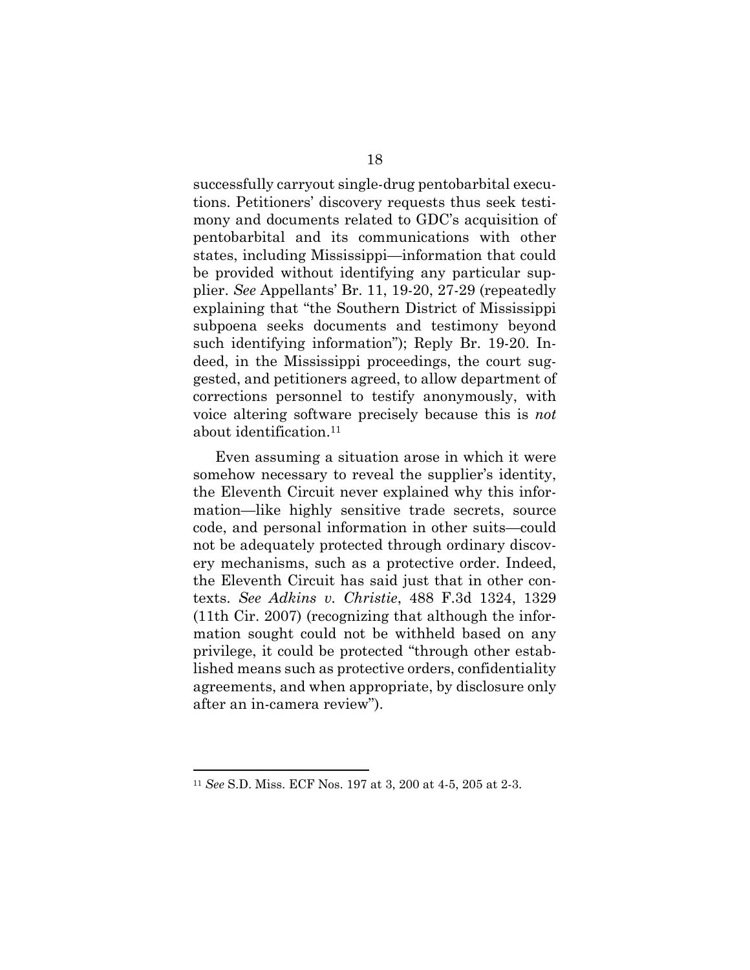successfully carryout single-drug pentobarbital executions. Petitioners' discovery requests thus seek testimony and documents related to GDC's acquisition of pentobarbital and its communications with other states, including Mississippi—information that could be provided without identifying any particular supplier. *See* Appellants' Br. 11, 19-20, 27-29 (repeatedly explaining that "the Southern District of Mississippi subpoena seeks documents and testimony beyond such identifying information"); Reply Br. 19-20. Indeed, in the Mississippi proceedings, the court suggested, and petitioners agreed, to allow department of corrections personnel to testify anonymously, with voice altering software precisely because this is *not*  about identification.11

Even assuming a situation arose in which it were somehow necessary to reveal the supplier's identity, the Eleventh Circuit never explained why this information—like highly sensitive trade secrets, source code, and personal information in other suits—could not be adequately protected through ordinary discovery mechanisms, such as a protective order. Indeed, the Eleventh Circuit has said just that in other contexts. *See Adkins v. Christie*, 488 F.3d 1324, 1329 (11th Cir. 2007) (recognizing that although the information sought could not be withheld based on any privilege, it could be protected "through other established means such as protective orders, confidentiality agreements, and when appropriate, by disclosure only after an in-camera review").

<sup>11</sup> *See* S.D. Miss. ECF Nos. 197 at 3, 200 at 4-5, 205 at 2-3.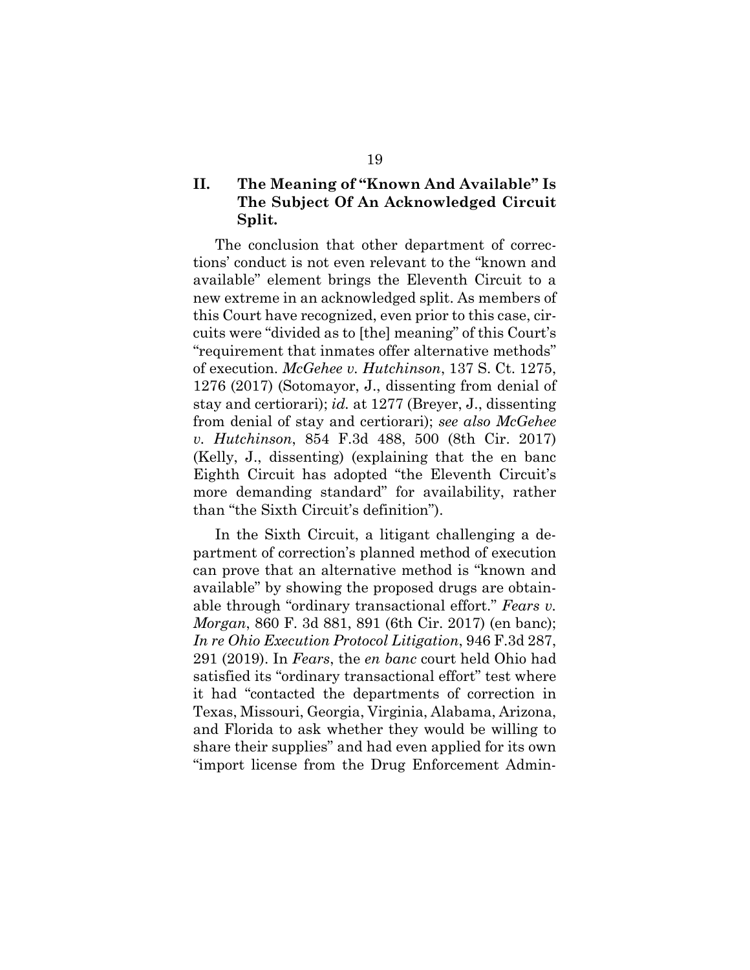## **II. The Meaning of "Known And Available" Is The Subject Of An Acknowledged Circuit Split.**

The conclusion that other department of corrections' conduct is not even relevant to the "known and available" element brings the Eleventh Circuit to a new extreme in an acknowledged split. As members of this Court have recognized, even prior to this case, circuits were "divided as to [the] meaning" of this Court's "requirement that inmates offer alternative methods" of execution. *McGehee v. Hutchinson*, 137 S. Ct. 1275, 1276 (2017) (Sotomayor, J., dissenting from denial of stay and certiorari); *id.* at 1277 (Breyer, J., dissenting from denial of stay and certiorari); *see also McGehee v. Hutchinson*, 854 F.3d 488, 500 (8th Cir. 2017) (Kelly, J., dissenting) (explaining that the en banc Eighth Circuit has adopted "the Eleventh Circuit's more demanding standard" for availability, rather than "the Sixth Circuit's definition").

In the Sixth Circuit, a litigant challenging a department of correction's planned method of execution can prove that an alternative method is "known and available" by showing the proposed drugs are obtainable through "ordinary transactional effort." *Fears v. Morgan*, 860 F. 3d 881, 891 (6th Cir. 2017) (en banc); *In re Ohio Execution Protocol Litigation*, 946 F.3d 287, 291 (2019). In *Fears*, the *en banc* court held Ohio had satisfied its "ordinary transactional effort" test where it had "contacted the departments of correction in Texas, Missouri, Georgia, Virginia, Alabama, Arizona, and Florida to ask whether they would be willing to share their supplies" and had even applied for its own "import license from the Drug Enforcement Admin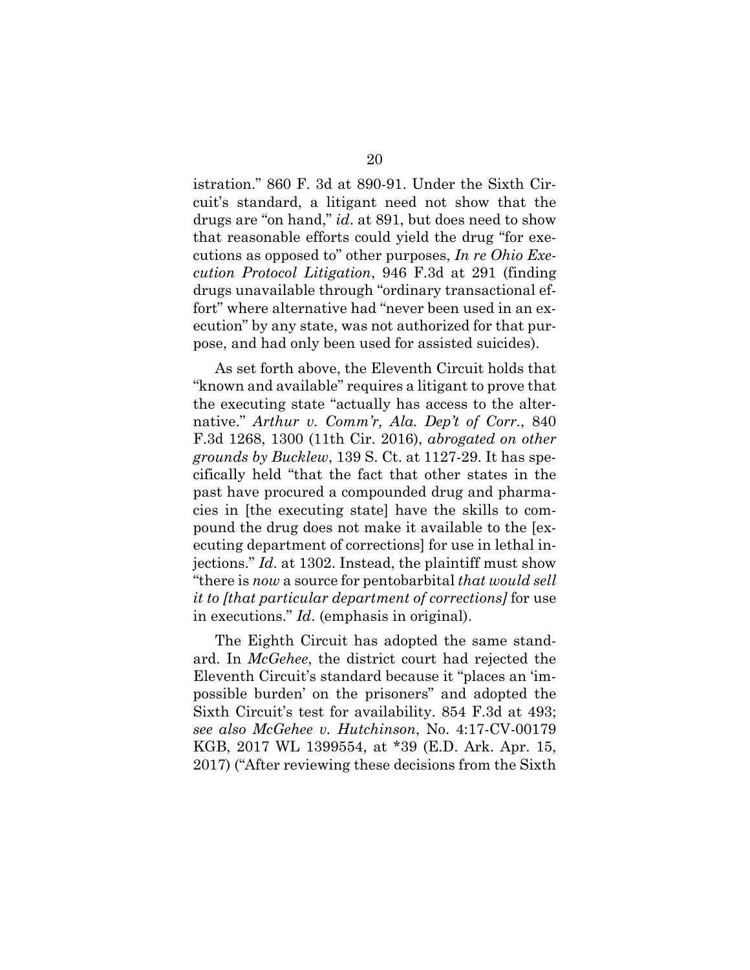istration." 860 F. 3d at 890-91. Under the Sixth Circuit's standard, a litigant need not show that the drugs are "on hand," *id*. at 891, but does need to show that reasonable efforts could yield the drug "for executions as opposed to" other purposes, *In re Ohio Execution Protocol Litigation*, 946 F.3d at 291 (finding drugs unavailable through "ordinary transactional effort" where alternative had "never been used in an execution" by any state, was not authorized for that purpose, and had only been used for assisted suicides).

As set forth above, the Eleventh Circuit holds that "known and available" requires a litigant to prove that the executing state "actually has access to the alternative." *Arthur v. Comm'r, Ala. Dep't of Corr.*, 840 F.3d 1268, 1300 (11th Cir. 2016), *abrogated on other grounds by Bucklew*, 139 S. Ct. at 1127-29. It has specifically held "that the fact that other states in the past have procured a compounded drug and pharmacies in [the executing state] have the skills to compound the drug does not make it available to the [executing department of corrections] for use in lethal injections." *Id*. at 1302. Instead, the plaintiff must show "there is *now* a source for pentobarbital *that would sell it to [that particular department of corrections]* for use in executions." *Id*. (emphasis in original).

The Eighth Circuit has adopted the same standard. In *McGehee*, the district court had rejected the Eleventh Circuit's standard because it "places an 'impossible burden' on the prisoners" and adopted the Sixth Circuit's test for availability. 854 F.3d at 493; *see also McGehee v. Hutchinson*, No. 4:17-CV-00179 KGB, 2017 WL 1399554, at \*39 (E.D. Ark. Apr. 15, 2017) ("After reviewing these decisions from the Sixth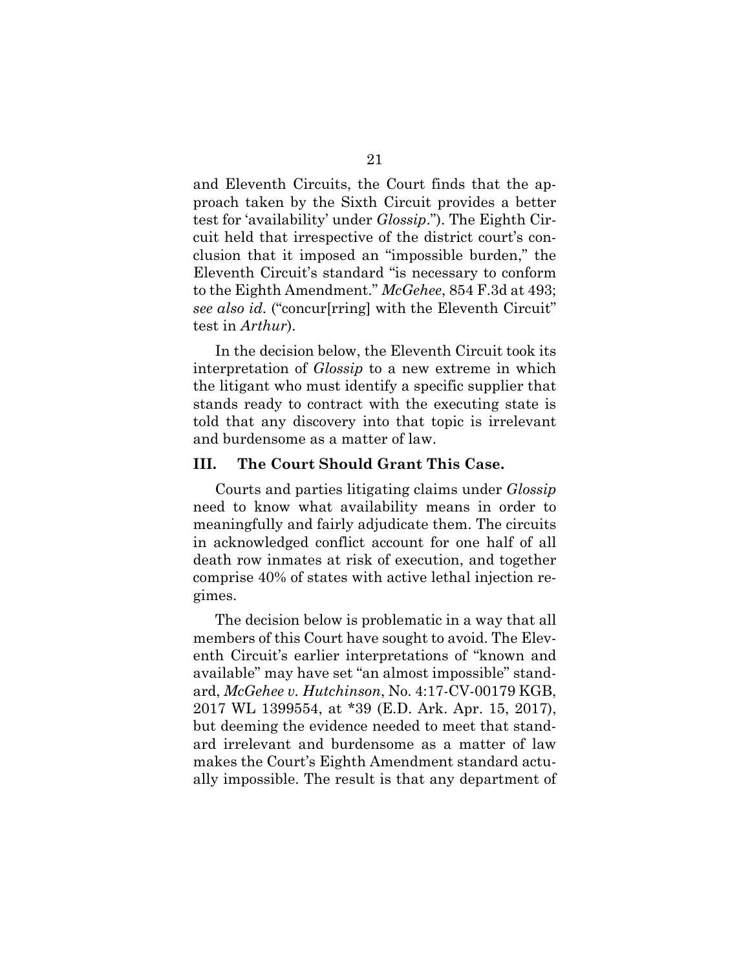and Eleventh Circuits, the Court finds that the approach taken by the Sixth Circuit provides a better test for 'availability' under *Glossip*."). The Eighth Circuit held that irrespective of the district court's conclusion that it imposed an "impossible burden," the Eleventh Circuit's standard "is necessary to conform to the Eighth Amendment." *McGehee*, 854 F.3d at 493; *see also id.* ("concur[rring] with the Eleventh Circuit" test in *Arthur*).

In the decision below, the Eleventh Circuit took its interpretation of *Glossip* to a new extreme in which the litigant who must identify a specific supplier that stands ready to contract with the executing state is told that any discovery into that topic is irrelevant and burdensome as a matter of law.

### **III. The Court Should Grant This Case.**

Courts and parties litigating claims under *Glossip*  need to know what availability means in order to meaningfully and fairly adjudicate them. The circuits in acknowledged conflict account for one half of all death row inmates at risk of execution, and together comprise 40% of states with active lethal injection regimes.

The decision below is problematic in a way that all members of this Court have sought to avoid. The Eleventh Circuit's earlier interpretations of "known and available" may have set "an almost impossible" standard, *McGehee v. Hutchinson*, No. 4:17-CV-00179 KGB, 2017 WL 1399554, at \*39 (E.D. Ark. Apr. 15, 2017), but deeming the evidence needed to meet that standard irrelevant and burdensome as a matter of law makes the Court's Eighth Amendment standard actually impossible. The result is that any department of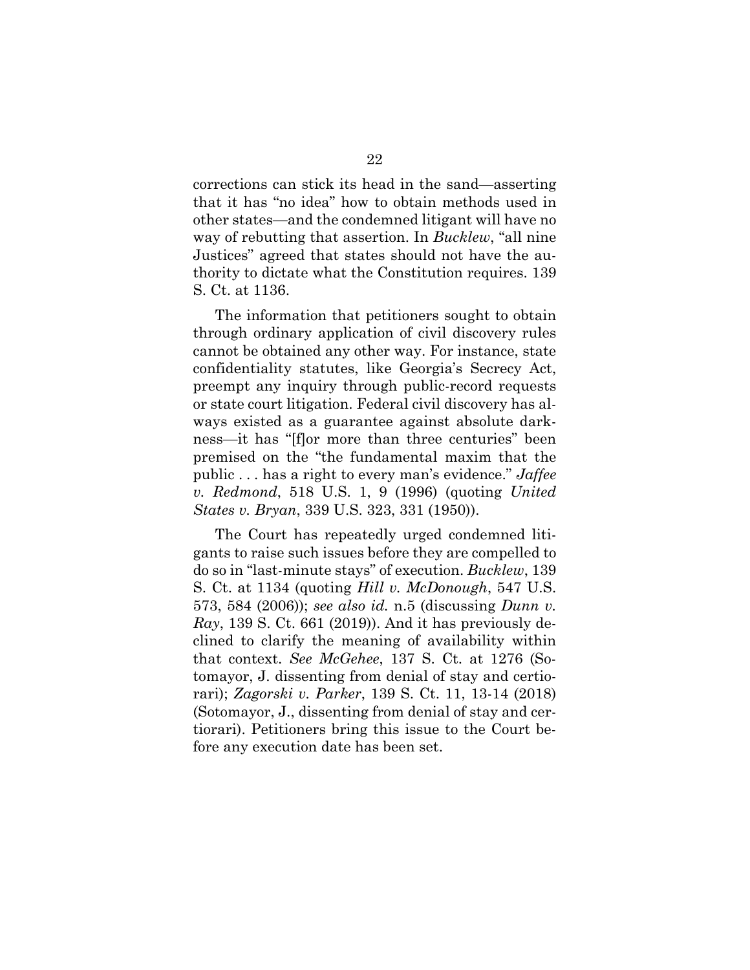corrections can stick its head in the sand—asserting that it has "no idea" how to obtain methods used in other states—and the condemned litigant will have no way of rebutting that assertion. In *Bucklew*, "all nine Justices" agreed that states should not have the authority to dictate what the Constitution requires. 139 S. Ct. at 1136.

The information that petitioners sought to obtain through ordinary application of civil discovery rules cannot be obtained any other way. For instance, state confidentiality statutes, like Georgia's Secrecy Act, preempt any inquiry through public-record requests or state court litigation. Federal civil discovery has always existed as a guarantee against absolute darkness—it has "[f]or more than three centuries" been premised on the "the fundamental maxim that the public . . . has a right to every man's evidence." *Jaffee v. Redmond*, 518 U.S. 1, 9 (1996) (quoting *United States v. Bryan*, 339 U.S. 323, 331 (1950)).

The Court has repeatedly urged condemned litigants to raise such issues before they are compelled to do so in "last-minute stays" of execution. *Bucklew*, 139 S. Ct. at 1134 (quoting *Hill v. McDonough*, 547 U.S. 573, 584 (2006)); *see also id.* n.5 (discussing *Dunn v. Ray*, 139 S. Ct. 661 (2019)). And it has previously declined to clarify the meaning of availability within that context. *See McGehee*, 137 S. Ct. at 1276 (Sotomayor, J. dissenting from denial of stay and certiorari); *Zagorski v. Parker*, 139 S. Ct. 11, 13-14 (2018) (Sotomayor, J., dissenting from denial of stay and certiorari). Petitioners bring this issue to the Court before any execution date has been set.